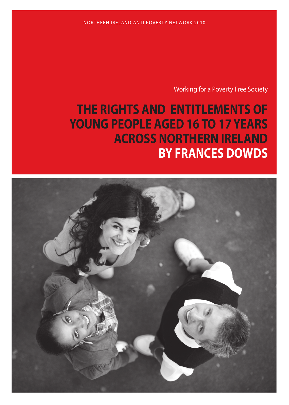NORTHERN IRELAND ANTI POVERTY NETWORK 2010

Working for a Poverty Free Society

# **THE RIGHTS AND ENTITLEMENTS OF YOUNG PEOPLE AGED 16 TO 17 YEARS ACROSS NORTHERN IRELAND BY FRANCES DOWDS**

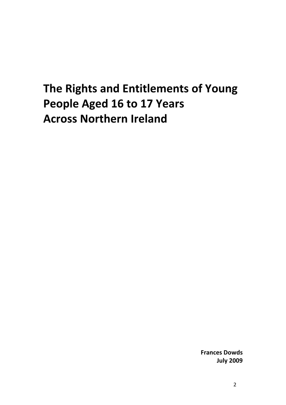## **The Rights and Entitlements of Young People Aged 16 to 17 Years Across Northern Ireland**

**Frances Dowds July 2009**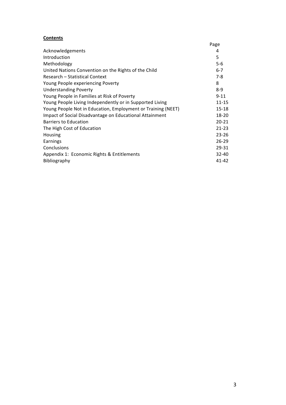#### **Contents**

|                                                              | Page      |
|--------------------------------------------------------------|-----------|
| Acknowledgements                                             | 4         |
| Introduction                                                 | 5         |
| Methodology                                                  | $5 - 6$   |
| United Nations Convention on the Rights of the Child         | $6 - 7$   |
| Research – Statistical Context                               | $7-8$     |
| Young People experiencing Poverty                            | 8         |
| <b>Understanding Poverty</b>                                 | $8-9$     |
| Young People in Families at Risk of Poverty                  | $9 - 11$  |
| Young People Living Independently or in Supported Living     | $11 - 15$ |
| Young People Not in Education, Employment or Training (NEET) | 15-18     |
| Impact of Social Disadvantage on Educational Attainment      | 18-20     |
| <b>Barriers to Education</b>                                 | $20 - 21$ |
| The High Cost of Education                                   | $21 - 23$ |
| Housing                                                      | $23 - 26$ |
| Earnings                                                     | $26 - 29$ |
| Conclusions                                                  | 29-31     |
| Appendix 1: Economic Rights & Entitlements                   | 32-40     |
| Bibliography                                                 | 41-42     |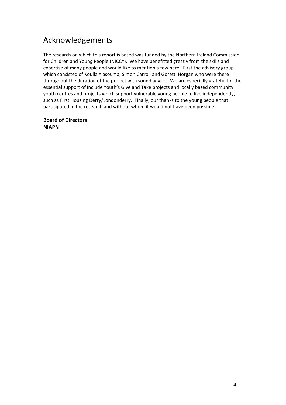### Acknowledgements

The research on which this report is based was funded by the Northern Ireland Commission for Children and Young People (NICCY). We have benefitted greatly from the skills and expertise of many people and would like to mention a few here. First the advisory group which consisted of Koulla Yiasouma, Simon Carroll and Goretti Horgan who were there throughout the duration of the project with sound advice. We are especially grateful for the essential support of Include Youth's Give and Take projects and locally based community youth centres and projects which support vulnerable young people to live independently, such as First Housing Derry/Londonderry. Finally, our thanks to the young people that participated in the research and without whom it would not have been possible.

#### **Board of Directors NIAPN**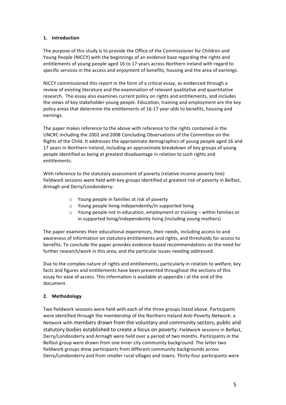#### **1. Introduction**

The purpose of this study is to provide the Office of the Commissioner for Children and Young People (NICCY) with the beginnings of an evidence base regarding the rights and entitlements of young people aged 16 to 17 years across Northern Ireland with regard to specific services in the access and enjoyment of benefits, housing and the area of earnings.

NICCY commissioned this report in the form of a critical essay, as evidenced through a review of existing literature and the examination of relevant qualitative and quantitative research. The essay also examines current policy on rights and entitlements, and includes the views of key stakeholder young people. Education, training and employment are the key policy areas that determine the entitlements of 16‐17 year olds to benefits, housing and earnings.

The paper makes reference to the above with reference to the rights contained in the UNCRC including the 2002 and 2008 Concluding Observations of the Committee on the Rights of the Child. It addresses the approximate demographics of young people aged 16 and 17 years in Northern Ireland, including an approximate breakdown of key groups of young people identified as being at greatest disadvantage in relation to such rights and entitlements.

With reference to the statutory assessment of poverty (relative income poverty line) fieldwork sessions were held with key groups identified at greatest risk of poverty in Belfast, Armagh and Derry/Londonderry:

- o Young people in families at risk of poverty
- o Young people living independently/in supported living
- o Young people not in education, employment or training within families or in supported living/independently living (including young mothers)

The paper examines their educational experiences, their needs, including access to and awareness of information on statutory entitlements and rights, and thresholds for access to benefits. To conclude the paper provides evidence‐based recommendations on the need for further research/work in this area, and the particular issues needing addressed.

Due to the complex nature of rights and entitlements, particularly in relation to welfare, key facts and figures and entitlements have been presented throughout the sections of this essay for ease of access. This information is available at appendix i at the end of the document.

#### **2. Methodology**

Two fieldwork sessions were held with each of the three groups listed above. Participants were identified through the membership of the Northern Ireland Anti-Poverty Network: a Network with members drawn from the voluntary and community sectors, public and statutory bodies established to create a focus on poverty. Fieldwork sessions in Belfast, Derry/Londonderry and Armagh were held over a period of two months. Participants in the Belfast group were drawn from one inner city community background. The latter two fieldwork groups drew participants from different community backgrounds across Derry/Londonderry and from smaller rural villages and towns. Thirty-four participants were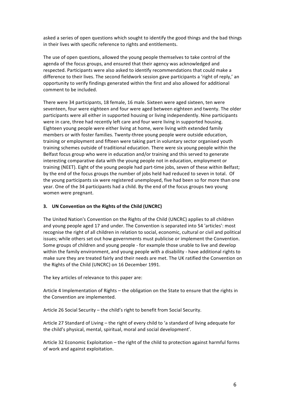asked a series of open questions which sought to identify the good things and the bad things in their lives with specific reference to rights and entitlements.

The use of open questions, allowed the young people themselves to take control of the agenda of the focus groups, and ensured that their agency was acknowledged and respected. Participants were also asked to identify recommendations that could make a difference to their lives. The second fieldwork session gave participants a 'right of reply,' an opportunity to verify findings generated within the first and also allowed for additional comment to be included.

There were 34 participants, 18 female, 16 male. Sixteen were aged sixteen, ten were seventeen, four were eighteen and four were aged between eighteen and twenty. The older participants were all either in supported housing or living independently. Nine participants were in care, three had recently left care and four were living in supported housing. Eighteen young people were either living at home, were living with extended family members or with foster families. Twenty‐three young people were outside education, training or employment and fifteen were taking part in voluntary sector organised youth training schemes outside of traditional education. There were six young people within the Belfast focus group who were in education and/or training and this served to generate interesting comparative data with the young people not in education, employment or training (NEET). Eight of the young people had part-time jobs, seven of these within Belfast; by the end of the focus groups the number of jobs held had reduced to seven in total. Of the young participants six were registered unemployed, five had been so for more than one year. One of the 34 participants had a child. By the end of the focus groups two young women were pregnant.

#### **3. UN Convention on the Rights of the Child (UNCRC)**

The United Nation's Convention on the Rights of the Child (UNCRC) applies to all children and young people aged 17 and under. The Convention is separated into 54 'articles': most recognise the right of all children in relation to social, economic, cultural or civil and political issues; while others set out how governments must publicise or implement the Convention. Some groups of children and young people ‐ for example those unable to live and develop within the family environment, and young people with a disability - have additional rights to make sure they are treated fairly and their needs are met. The UK ratified the Convention on the Rights of the Child (UNCRC) on 16 December 1991.

The key articles of relevance to this paper are:

Article 4 Implementation of Rights – the obligation on the State to ensure that the rights in the Convention are implemented.

Article 26 Social Security – the child's right to benefit from Social Security.

Article 27 Standard of Living – the right of every child to 'a standard of living adequate for the child's physical, mental, spiritual, moral and social development'.

Article 32 Economic Exploitation – the right of the child to protection against harmful forms of work and against exploitation.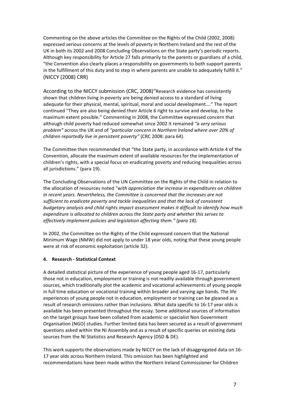Commenting on the above articles the Committee on the Rights of the Child (2002, 2008) expressed serious concerns at the levels of poverty in Northern Ireland and the rest of the UK in both its 2002 and 2008 Concluding Observations on the State party's periodic reports. Although key responsibility for Article 27 falls primarily to the parents or guardians of a child, "the Convention also clearly places a responsibility on governments to both support parents in the fulfillment of this duty and to step in where parents are unable to adequately fulfill it." (NICCY (2008) CRR)

According to the NICCY submission (CRC, 2008)"Research evidence has consistently shown that children living in poverty are being denied access to a standard of living adequate for their physical, mental, spiritual, moral and social development…." The report continued "They are also being denied their Article 6 right to survive and develop, to the maximum extent possible." Commenting in 2008, the Committee expressed concern that although child poverty had reduced somewhat since 2002 it remained *"a very serious problem"* across the UK and of *"particular concern in Northern Ireland where over 20% of children reportedly live in persistent poverty"* (CRC 2008: para 64).

The Committee then recommended that "the State party, in accordance with Article 4 of the Convention, allocate the maximum extent of available resources for the implementation of children's rights, with a special focus on eradicating poverty and reducing inequalities across all jurisdictions." (para 19).

The Concluding Observations of the UN Committee on the Rights of the Child in relation to the allocation of resources noted "*with appreciation the increase in expenditures on children in recent years. Nevertheless, the Committee is concerned that the increases are not sufficient to eradicate poverty and tackle inequalities and that the lack of consistent budgetary analysis and child rights impact assessment makes it difficult to identify how much expenditure is allocated to children across the State party and whether this serves to effectively implement policies and legislation affecting them." (para 18).* 

In 2002, the Committee on the Rights of the Child expressed concern that the National Minimum Wage (NMW) did not apply to under 18 year olds, noting that these young people were at risk of economic exploitation (article 32).

#### **4. Research ‐ Statistical Context**

A detailed statistical picture of the experience of young people aged 16‐17, particularly those not in education, employment or training is not readily available through government sources, which traditionally plot the academic and vocational achievements of young people in full time education or vocational training within broader and varying age bands. The life experiences of young people not in education, employment or training can be gleaned as a result of research omissions rather than inclusions. What data specific to 16‐17 year olds is available has been presented throughout the essay. Some additional sources of information on the target groups have been collated from academic or specialist Non Government Organisation (NGO) studies. Further limited data has been secured as a result of government questions asked within the NI Assembly and as a result of specific queries on existing data sources from the NI Statistics and Research Agency (DSD & DE).

This work supports the observations made by NICCY on the lack of disaggregated data on 16‐ 17 year olds across Northern Ireland. This omission has been highlighted and recommendations have been made within the Northern Ireland Commissioner for Children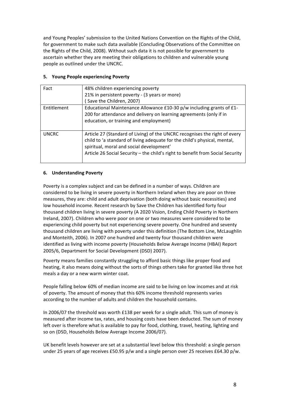and Young Peoples' submission to the United Nations Convention on the Rights of the Child, for government to make such data available (Concluding Observations of the Committee on the Rights of the Child, 2008). Without such data it is not possible for government to ascertain whether they are meeting their obligations to children and vulnerable young people as outlined under the UNCRC.

#### **5. Young People experiencing Poverty**

| Fact         | 48% children experiencing poverty<br>21% in persistent poverty - (3 years or more)<br>Save the Children, 2007)                                                                                                                                                                        |
|--------------|---------------------------------------------------------------------------------------------------------------------------------------------------------------------------------------------------------------------------------------------------------------------------------------|
| Entitlement  | Educational Maintenance Allowance £10-30 p/w including grants of £1-<br>200 for attendance and delivery on learning agreements (only if in<br>education, or training and employment)                                                                                                  |
| <b>UNCRC</b> | Article 27 (Standard of Living) of the UNCRC recognises the right of every<br>child to 'a standard of living adequate for the child's physical, mental,<br>spiritual, moral and social development'<br>Article 26 Social Security - the child's right to benefit from Social Security |

#### **6. Understanding Poverty**

Poverty is a complex subject and can be defined in a number of ways. Children are considered to be living in severe poverty in Northern Ireland when they are poor on three measures, they are: child and adult deprivation (both doing without basic necessities) and low household income. Recent research by Save the Children has identified forty four thousand children living in severe poverty (A 2020 Vision, Ending Child Poverty in Northern Ireland, 2007). Children who were poor on one or two measures were considered to be experiencing child poverty but not experiencing severe poverty. One hundred and seventy thousand children are living with poverty under this definition (The Bottom Line, McLaughlin and Monteith, 2006). In 2007 one hundred and twenty four thousand children were identified as living with income poverty (Households Below Average Income (HBAI) Report 2005/6, Department for Social Development (DSD) 2007).

Poverty means families constantly struggling to afford basic things like proper food and heating, it also means doing without the sorts of things others take for granted like three hot meals a day or a new warm winter coat.

People falling below 60% of median income are said to be living on low incomes and at risk of poverty. The amount of money that this 60% income threshold represents varies according to the number of adults and children the household contains.

In 2006/07 the threshold was worth £138 per week for a single adult. This sum of money is measured after income tax, rates, and housing costs have been deducted. The sum of money left over is therefore what is available to pay for food, clothing, travel, heating, lighting and so on (DSD, Households Below Average Income 2006/07).

UK benefit levels however are set at a substantial level below this threshold: a single person under 25 years of age receives £50.95 p/w and a single person over 25 receives £64.30 p/w.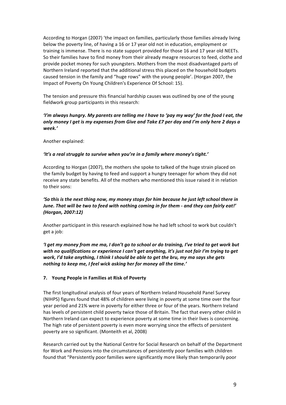According to Horgan (2007) 'the impact on families, particularly those families already living below the poverty line, of having a 16 or 17 year old not in education, employment or training is immense. There is no state support provided for those 16 and 17 year old NEETs. So their families have to find money from their already meagre resources to feed, clothe and provide pocket money for such youngsters. Mothers from the most disadvantaged parts of Northern Ireland reported that the additional stress this placed on the household budgets caused tension in the family and "huge rows" with the young people'. (Horgan 2007, the Impact of Poverty On Young Children's Experience Of School: 15).

The tension and pressure this financial hardship causes was outlined by one of the young fieldwork group participants in this research:

#### *'I'm always hungry. My parents are telling me I have to 'pay my way' for the food I eat, the only money I get is my expenses from Give and Take £7 per day and I'm only here 2 days a week.'*

Another explained:

#### *'It's a real struggle to survive when you're in a family where money's tight.'*

According to Horgan (2007), the mothers she spoke to talked of the huge strain placed on the family budget by having to feed and support a hungry teenager for whom they did not receive any state benefits. All of the mothers who mentioned this issue raised it in relation to their sons:

#### *'So this is the next thing now, my money stops for him because he just left school there in June. That will be two to feed with nothing coming in for them ‐ and they can fairly eat!' (Horgan, 2007:12)*

Another participant in this research explained how he had left school to work but couldn't get a job:

*'I get my money from me ma, I don't go to school or do training, I've tried to get work but with no qualifications or experience I can't get anything, it's just not fair I'm trying to get work, I'd take anything, I think I should be able to get the bru, my ma says she gets nothing to keep me, I feel wick asking her for money all the time.'* 

#### **7. Young People in Families at Risk of Poverty**

The first longitudinal analysis of four years of Northern Ireland Household Panel Survey (NIHPS) figures found that 48% of children were living in poverty at some time over the four year period and 21% were in poverty for either three or four of the years. Northern Ireland has levels of persistent child poverty twice those of Britain. The fact that every other child in Northern Ireland can expect to experience poverty at some time in their lives is concerning. The high rate of persistent poverty is even more worrying since the effects of persistent poverty are so significant. (Monteith et al, 2008)

Research carried out by the National Centre for Social Research on behalf of the Department for Work and Pensions into the circumstances of persistently poor families with children found that "Persistently poor families were significantly more likely than temporarily poor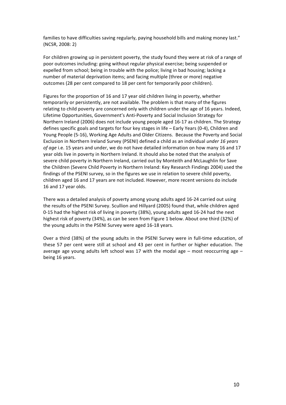families to have difficulties saving regularly, paying household bills and making money last." (NCSR, 2008: 2)

For children growing up in persistent poverty, the study found they were at risk of a range of poor outcomes including: going without regular physical exercise; being suspended or expelled from school; being in trouble with the police; living in bad housing; lacking a number of material deprivation items; and facing multiple (three or more) negative outcomes (28 per cent compared to 18 per cent for temporarily poor children).

Figures for the proportion of 16 and 17 year old children living in poverty, whether temporarily or persistently, are not available. The problem is that many of the figures relating to child poverty are concerned only with children under the age of 16 years. Indeed, Lifetime Opportunities, Government's Anti‐Poverty and Social Inclusion Strategy for Northern Ireland (2006) does not include young people aged 16‐17 as children. The Strategy defines specific goals and targets for four key stages in life – Early Years (0‐4), Children and Young People (5‐16), Working Age Adults and Older Citizens. Because the Poverty and Social Exclusion in Northern Ireland Survey (PSENI) defined a child as an individual *under 16 years of age* i.e. 15 years and under, we do not have detailed information on how many 16 and 17 year olds live in poverty in Northern Ireland. It should also be noted that the analysis of severe child poverty in Northern Ireland, carried out by Monteith and McLaughlin for Save the Children (Severe Child Poverty in Northern Ireland: Key Research Findings 2004) used the findings of the PSENI survey, so in the figures we use in relation to severe child poverty, children aged 16 and 17 years are not included. However, more recent versions do include 16 and 17 year olds.

There was a detailed analysis of poverty among young adults aged 16‐24 carried out using the results of the PSENI Survey. Scullion and Hillyard (2005) found that, while children aged 0‐15 had the highest risk of living in poverty (38%), young adults aged 16‐24 had the next highest risk of poverty (34%), as can be seen from Figure 1 below. About one third (32%) of the young adults in the PSENI Survey were aged 16‐18 years.

Over a third (38%) of the young adults in the PSENI Survey were in full‐time education, of these 57 per cent were still at school and 43 per cent in further or higher education. The average age young adults left school was 17 with the modal age  $-$  most reoccurring age  $$ being 16 years.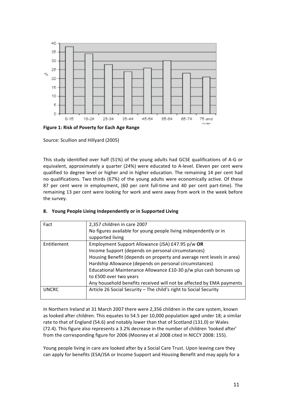

**Figure 1: Risk of Poverty for Each Age Range**

Source: Scullion and Hillyard (2005)

This study identified over half (51%) of the young adults had GCSE qualifications of A‐G or equivalent, approximately a quarter (24%) were educated to A‐level. Eleven per cent were qualified to degree level or higher and in higher education. The remaining 14 per cent had no qualifications. Two thirds (67%) of the young adults were economically active. Of these 87 per cent were in employment, (60 per cent full-time and 40 per cent part-time). The remaining 13 per cent were looking for work and were away from work in the week before the survey.

|  | 8. Young People Living Independently or in Supported Living |  |
|--|-------------------------------------------------------------|--|
|--|-------------------------------------------------------------|--|

| Fact         | 2,357 children in care 2007                                           |
|--------------|-----------------------------------------------------------------------|
|              | No figures available for young people living independently or in      |
|              | supported living                                                      |
| Entitlement  | Employment Support Allowance (JSA) £47.95 p/w OR                      |
|              | Income Support (depends on personal circumstances)                    |
|              | Housing Benefit (depends on property and average rent levels in area) |
|              | Hardship Allowance (depends on personal circumstances)                |
|              | Educational Maintenance Allowance £10-30 p/w plus cash bonuses up     |
|              | to £500 over two years                                                |
|              | Any household benefits received will not be affected by EMA payments  |
| <b>UNCRC</b> | Article 26 Social Security - The child's right to Social Security     |
|              |                                                                       |

In Northern Ireland at 31 March 2007 there were 2,356 children in the care system, known as looked after children. This equates to 54.5 per 10,000 population aged under 18; a similar rate to that of England (54.6) and notably lower than that of Scotland (131.0) or Wales (72.4). This figure also represents a 3.2% decrease in the number of children 'looked after' from the corresponding figure for 2006 (Mooney et al 2008 cited in NICCY 2008: 155).

Young people living in care are looked after by a Social Care Trust. Upon leaving care they can apply for benefits (ESA/JSA or Income Support and Housing Benefit and may apply for a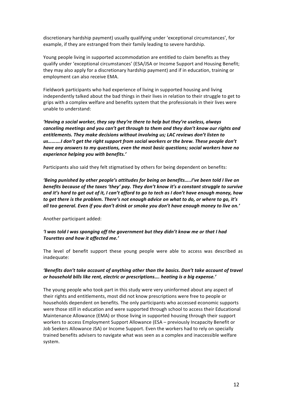discretionary hardship payment) usually qualifying under 'exceptional circumstances', for example, if they are estranged from their family leading to severe hardship.

Young people living in supported accommodation are entitled to claim benefits as they qualify under 'exceptional circumstances' (ESA/JSA or Income Support and Housing Benefit; they may also apply for a discretionary hardship payment) and if in education, training or employment can also receive EMA.

Fieldwork participants who had experience of living in supported housing and living independently talked about the bad things in their lives in relation to their struggle to get to grips with a complex welfare and benefits system that the professionals in their lives were unable to understand:

*'Having a social worker, they say they're there to help but they're useless, always canceling meetings and you can't get through to them and they don't know our rights and entitlements. They make decisions without involving us; LAC reviews don't listen to us……….I don't get the right support from social workers or the brew. These people don't have any answers to my questions, even the most basic questions; social workers have no experience helping you with benefits.'*

Participants also said they felt stigmatised by others for being dependent on benefits:

*'Being punished by other people's attitudes for being on benefits…..I've been told I live on benefits because of the taxes 'they' pay. They don't know it's a constant struggle to survive and it's hard to get out of it, I can't afford to go to tech as I don't have enough money, how to get there is the problem. There's not enough advice on what to do, or where to go, it's all too general. Even if you don't drink or smoke you don't have enough money to live on.'*

Another participant added:

#### *'I was told I was sponging off the government but they didn't know me or that I had Tourettes and how it affected me.'*

The level of benefit support these young people were able to access was described as inadequate:

#### *'Benefits don't take account of anything other than the basics. Don't take account of travel or household bills like rent, electric or prescriptions…. heating is a big expense.'*

The young people who took part in this study were very uninformed about any aspect of their rights and entitlements, most did not know prescriptions were free to people or households dependent on benefits. The only participants who accessed economic supports were those still in education and were supported through school to access their Educational Maintenance Allowance (EMA) or those living in supported housing through their support workers to access Employment Support Allowance (ESA – previously Incapacity Benefit or Job Seekers Allowance JSA) or Income Support. Even the workers had to rely on specially trained benefits advisers to navigate what was seen as a complex and inaccessible welfare system.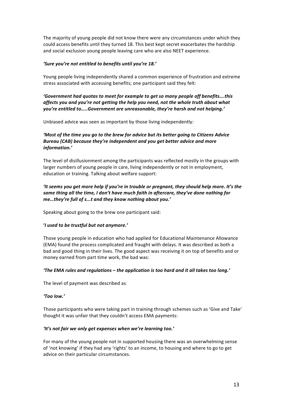The majority of young people did not know there were any circumstances under which they could access benefits until they turned 18. This best kept secret exacerbates the hardship and social exclusion young people leaving care who are also NEET experience.

#### *'Sure you're not entitled to benefits until you're 18.'*

Young people living independently shared a common experience of frustration and extreme stress associated with accessing benefits; one participant said they felt:

#### *'Government had quotas to meet for example to get so many people off benefits….this affects you and you're not getting the help you need, not the whole truth about what you're entitled to…..Government are unreasonable, they're harsh and not helping.'*

Unbiased advice was seen as important by those living independently:

#### *'Most of the time you go to the brew for advice but its better going to Citizens Advice Bureau (CAB) because they're independent and you get better advice and more information.'*

The level of disillusionment among the participants was reflected mostly in the groups with larger numbers of young people in care, living independently or not in employment, education or training. Talking about welfare support:

#### *'It seems you get more help if you're in trouble or pregnant, they should help more. It's the same thing all the time, I don't have much faith in aftercare, they've done nothing for me…they're full of s...t and they know nothing about you.'*

Speaking about going to the brew one participant said:

#### **'***I used to be trustful but not anymore.'*

Those young people in education who had applied for Educational Maintenance Allowance (EMA) found the process complicated and fraught with delays. It was described as both a bad and good thing in their lives. The good aspect was receiving it on top of benefits and or money earned from part time work, the bad was:

#### *'The EMA rules and regulations – the application is too hard and it all takes too long.'*

The level of payment was described as*:* 

#### *'Too low.'*

Those participants who were taking part in training through schemes such as 'Give and Take' thought it was unfair that they couldn't access EMA payments:

#### *'It's not fair we only get expenses when we're learning too.'*

For many of the young people not in supported housing there was an overwhelming sense of 'not knowing' if they had any 'rights' to an income, to housing and where to go to get advice on their particular circumstances.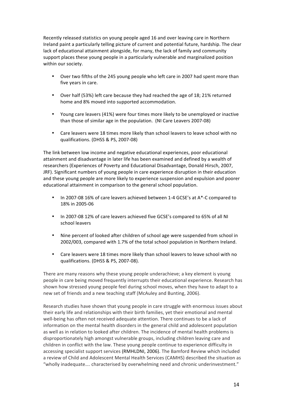Recently released statistics on young people aged 16 and over leaving care in Northern Ireland paint a particularly telling picture of current and potential future, hardship. The clear lack of educational attainment alongside, for many, the lack of family and community support places these young people in a particularly vulnerable and marginalized position within our society.

- Over two fifths of the 245 young people who left care in 2007 had spent more than five years in care.
- Over half (53%) left care because they had reached the age of 18; 21% returned home and 8% moved into supported accommodation.
- Young care leavers (41%) were four times more likely to be unemployed or inactive than those of similar age in the population. (NI Care Leavers 2007‐08)
- Care leavers were 18 times more likely than school leavers to leave school with no qualifications. (DHSS & PS, 2007‐08)

The link between low income and negative educational experiences, poor educational attainment and disadvantage in later life has been examined and defined by a wealth of researchers (Experiences of Poverty and Educational Disadvantage, Donald Hirsch, 2007, JRF). Significant numbers of young people in care experience disruption in their education and these young people are more likely to experience suspension and expulsion and poorer educational attainment in comparison to the general school population.

- In 2007-08 16% of care leavers achieved between 1-4 GCSE's at A\*-C compared to 18% in 2005‐06
- In 2007-08 12% of care leavers achieved five GCSE's compared to 65% of all NI school leavers
- Nine percent of looked after children of school age were suspended from school in 2002/003, compared with 1.7% of the total school population in Northern Ireland.
- Care leavers were 18 times more likely than school leavers to leave school with no qualifications. (DHSS & PS, 2007‐08).

There are many reasons why these young people underachieve; a key element is young people in care being moved frequently interrupts their educational experience. Research has shown how stressed young people feel during school moves, when they have to adapt to a new set of friends and a new teaching staff (McAuley and Bunting, 2006).

Research studies have shown that young people in care struggle with enormous issues about their early life and relationships with their birth families, yet their emotional and mental well-being has often not received adequate attention. There continues to be a lack of information on the mental health disorders in the general child and adolescent population as well as in relation to looked after children. The incidence of mental health problems is disproportionately high amongst vulnerable groups, including children leaving care and children in conflict with the law. These young people continue to experience difficulty in accessing specialist support services (RMHLDNI, 2006). The Bamford Review which included a review of Child and Adolescent Mental Health Services (CAMHS) described the situation as "wholly inadequate…. characterised by overwhelming need and chronic underinvestment."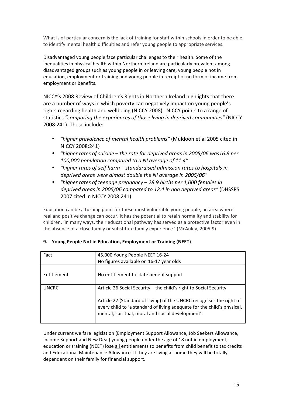What is of particular concern is the lack of training for staff within schools in order to be able to identify mental health difficulties and refer young people to appropriate services.

Disadvantaged young people face particular challenges to their health. Some of the inequalities in physical health within Northern Ireland are particularly prevalent among disadvantaged groups such as young people in or leaving care, young people not in education, employment or training and young people in receipt of no form of income from employment or benefits.

NICCY's 2008 Review of Children's Rights in Northern Ireland highlights that there are a number of ways in which poverty can negatively impact on young people's rights regarding health and wellbeing (NICCY 2008). NICCY points to a range of statistics *"comparing the experiences of those living in deprived communities"* (NICCY 2008:241). These include:

- *"higher prevalence of mental health problems"* (Muldoon et al 2005 cited in NICCY 2008:241)
- *"higher rates of suicide the rate for deprived areas in 2005/06 was16.8 per 100,000 population compared to a NI average of 11.4"*
- *"higher rates of self harm standardised admission rates to hospitals in deprived areas were almost double the NI average in 2005/06"*
- *"higher rates of teenage pregnancy 28.9 births per 1,000 females in deprived areas in 2005/06 compared to 12.4 in non deprived areas"* (DHSSPS 2007 cited in NICCY 2008:241)

Education can be a turning point for these most vulnerable young people, an area where real and positive change can occur. It has the potential to retain normality and stability for children. 'In many ways, their educational pathway has served as a protective factor even in the absence of a close family or substitute family experience.' (McAuley, 2005:9)

| Fact         | 45,000 Young People NEET 16-24                                                                                                                                                                       |
|--------------|------------------------------------------------------------------------------------------------------------------------------------------------------------------------------------------------------|
|              | No figures available on 16-17 year olds                                                                                                                                                              |
| Entitlement  | No entitlement to state benefit support                                                                                                                                                              |
| <b>UNCRC</b> | Article 26 Social Security – the child's right to Social Security                                                                                                                                    |
|              | Article 27 (Standard of Living) of the UNCRC recognises the right of<br>every child to 'a standard of living adequate for the child's physical,<br>mental, spiritual, moral and social development'. |

#### **9. Young People Not in Education, Employment or Training (NEET)**

Under current welfare legislation (Employment Support Allowance, Job Seekers Allowance, Income Support and New Deal) young people under the age of 18 not in employment, education or training (NEET) lose all entitlements to benefits from child benefit to tax credits and Educational Maintenance Allowance. If they are living at home they will be totally dependent on their family for financial support.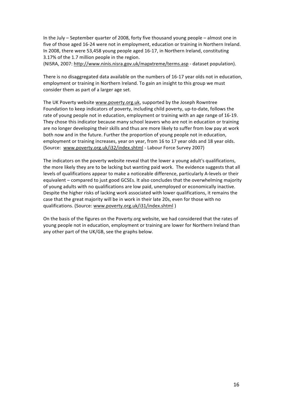In the July – September quarter of 2008, forty five thousand young people – almost one in five of those aged 16‐24 were not in employment, education or training in Northern Ireland. In 2008, there were 53,458 young people aged 16‐17, in Northern Ireland, constituting 3.17% of the 1.7 million people in the region.

(NISRA, 2007: http://www.ninis.nisra.gov.uk/mapxtreme/terms.asp ‐ dataset population).

There is no disaggregated data available on the numbers of 16‐17 year olds not in education, employment or training in Northern Ireland. To gain an insight to this group we must consider them as part of a larger age set.

The UK Poverty website www.poverty.org.uk, supported by the Joseph Rowntree Foundation to keep indicators of poverty, including child poverty, up‐to‐date, follows the rate of young people not in education, employment or training with an age range of 16‐19. They chose this indicator because many school leavers who are not in education or training are no longer developing their skills and thus are more likely to suffer from low pay at work both now and in the future. Further the proportion of young people not in education, employment or training increases, year on year, from 16 to 17 year olds and 18 year olds. (Source: www.poverty.org.uk/i32/index.shtml ‐ Labour Force Survey 2007)

The indicators on the poverty website reveal that the lower a young adult's qualifications, the more likely they are to be lacking but wanting paid work. The evidence suggests that all levels of qualifications appear to make a noticeable difference, particularly A‐levels or their equivalent – compared to just good GCSEs. It also concludes that the overwhelming majority of young adults with no qualifications are low paid, unemployed or economically inactive. Despite the higher risks of lacking work associated with lower qualifications, it remains the case that the great majority will be in work in their late 20s, even for those with no qualifications. (Source: www.poverty.org.uk/i31/index.shtml)

On the basis of the figures on the Poverty.org website, we had considered that the rates of young people not in education, employment or training are lower for Northern Ireland than any other part of the UK/GB, see the graphs below.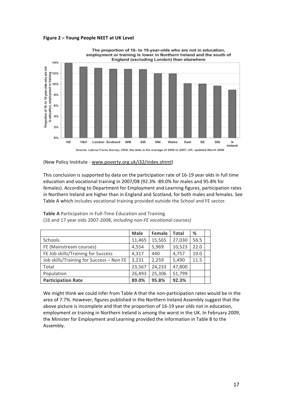



(New Policy Institute ‐ www.poverty.org.uk/i32/index.shtml)

This conclusion is supported by data on the participation rate of 16‐19 year olds in full time education and vocational training in 2007/08 (92.3% ‐89.0% for males and 95.8% for females). According to Department for Employment and Learning figures, participation rates in Northern Ireland are higher than in England and Scotland, for both males and females. See Table A which includes vocational training provided outside the School and FE sector.

|                                          | <b>Male</b> | <b>Female</b> | Total  | %    |  |
|------------------------------------------|-------------|---------------|--------|------|--|
| Schools                                  | 11,465      | 15,565        | 27,030 | 56.5 |  |
| FE (Mainstream courses)                  | 4,554       | 5,969         | 10,523 | 22.0 |  |
| FE Job skills/Training for Success       | 4,317       | 440           | 4,757  | 10.0 |  |
| Job skills/Training for Success - Non FE | 3,231       | 2,259         | 5,490  | 11.5 |  |
| Total                                    | 23,567      | 24,233        | 47,800 |      |  |
| Population                               | 26,493      | 25,306        | 51,799 |      |  |
| <b>Participation Rate</b>                | 89.0%       | 95.8%         | 92.3%  |      |  |

**Table A** Participation in Full‐Time Education and Training (16 and 17 year olds 2007‐2008, *including non‐FE vocational courses)*

We might think we could infer from Table A that the non-participation rates would be in the area of 7.7%. However, figures published in the Northern Ireland Assembly suggest that the above picture is incomplete and that the proportion of 16‐19 year olds not in education, employment or training in Northern Ireland is among the worst in the UK. In February 2009, the Minister for Employment and Learning provided the information in Table B to the Assembly.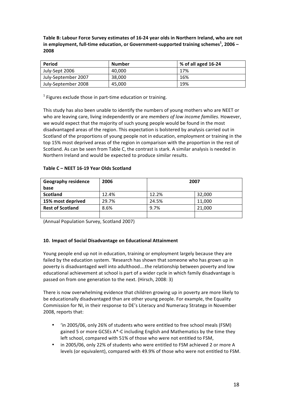**Table B: Labour Force Survey estimates of 16‐24 year olds in Northern Ireland, who are not in employment, full‐time education, or Government‐supported training schemes<sup>1</sup> , 2006 – 2008**

| Period              | Number | % of all aged 16-24 |
|---------------------|--------|---------------------|
| July-Sept 2006      | 40.000 | 17%                 |
| July-September 2007 | 38.000 | 16%                 |
| July-September 2008 | 45.000 | 19%                 |

 $<sup>1</sup>$  Figures exclude those in part-time education or training.</sup>

This study has also been unable to identify the numbers of young mothers who are NEET or who are leaving care, living independently or are *members of low income families*. However, we would expect that the majority of such young people would be found in the most disadvantaged areas of the region. This expectation is bolstered by analysis carried out in Scotland of the proportions of young people not in education, employment or training in the top 15% most deprived areas of the region in comparison with the proportion in the rest of Scotland. As can be seen from Table C, the contrast is stark. A similar analysis is needed in Northern Ireland and would be expected to produce similar results.

#### **Table C – NEET 16‐19 Year Olds Scotland**

| <b>Geography residence</b> | 2006  | 2007  |        |
|----------------------------|-------|-------|--------|
| base                       |       |       |        |
| <b>Scotland</b>            | 12.4% | 12.2% | 32,000 |
| 15% most deprived          | 29.7% | 24.5% | 11,000 |
| <b>Rest of Scotland</b>    | 8.6%  | 9.7%  | 21,000 |
|                            |       |       |        |

(Annual Population Survey, Scotland 2007)

#### **10. Impact of Social Disadvantage on Educational Attainment**

Young people end up not in education, training or employment largely because they are failed by the education system. 'Research has shown that someone who has grown up in poverty is disadvantaged well into adulthood….the relationship between poverty and low educational achievement at school is part of a wider cycle in which family disadvantage is passed on from one generation to the next. (Hirsch, 2008: 3)

There is now overwhelming evidence that children growing up in poverty are more likely to be educationally disadvantaged than are other young people. For example, the Equality Commission for NI, in their response to DE's Literacy and Numeracy Strategy in November 2008, reports that:

- 'in 2005/06, only 26% of students who were entitled to free school meals (FSM) gained 5 or more GCSEs A\*‐C including English and Mathematics by the time they left school, compared with 51% of those who were not entitled to FSM,
- in 2005/06, only 22% of students who were entitled to FSM achieved 2 or more A levels (or equivalent), compared with 49.9% of those who were not entitled to FSM.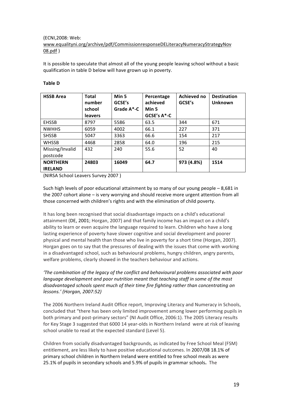#### (ECNI,2008: Web:

#### www.equalityni.org/archive/pdf/CommissionresponseDELiteracyNumeracyStrategyNov 08.pdf )

It is possible to speculate that almost all of the young people leaving school without a basic qualification in table D below will have grown up in poverty.

#### **Table D**

| <b>HSSB Area</b> | <b>Total</b><br>number | Min 5<br>GCSE's | Percentage<br>achieved | Achieved no<br>GCSE's | <b>Destination</b><br>Unknown |
|------------------|------------------------|-----------------|------------------------|-----------------------|-------------------------------|
|                  | school                 | Grade $A^*$ -C  | Min 5                  |                       |                               |
|                  | <b>leavers</b>         |                 | GCSE's A*-C            |                       |                               |
| <b>EHSSB</b>     | 8797                   | 5586            | 63.5                   | 344                   | 671                           |
| <b>NWHHS</b>     | 6059                   | 4002            | 66.1                   | 227                   | 371                           |
| <b>SHSSB</b>     | 5047                   | 3363            | 66.6                   | 154                   | 217                           |
| <b>WHSSB</b>     | 4468                   | 2858            | 64.0                   | 196                   | 215                           |
| Missing/Invalid  | 432                    | 240             | 55.6                   | 52                    | 40                            |
| postcode         |                        |                 |                        |                       |                               |
| <b>NORTHERN</b>  | 24803                  | 16049           | 64.7                   | 973 (4.8%)            | 1514                          |
| <b>IRELAND</b>   |                        |                 |                        |                       |                               |

(NIRSA School Leavers Survey 2007 )

Such high levels of poor educational attainment by so many of our young people – 8,681 in the 2007 cohort alone – is very worrying and should receive more urgent attention from all those concerned with children's rights and with the elimination of child poverty.

It has long been recognised that social disadvantage impacts on a child's educational attainment (DE, 2001; Horgan, 2007) and that family income has an impact on a child's ability to learn or even acquire the language required to learn. Children who have a long lasting experience of poverty have slower cognitive and social development and poorer physical and mental health than those who live in poverty for a short time (Horgan, 2007). Horgan goes on to say that the pressures of dealing with the issues that come with working in a disadvantaged school, such as behavioural problems, hungry children, angry parents, welfare problems, clearly showed in the teachers behaviour and actions.

#### *'The combination of the legacy of the conflict and behavioural problems associated with poor language development and poor nutrition meant that teaching staff in some of the most disadvantaged schools spent much of their time fire fighting rather than concentrating on lessons.' (Horgan, 2007:52)*

The 2006 Northern Ireland Audit Office report, Improving Literacy and Numeracy in Schools, concluded that "there has been only limited improvement among lower performing pupils in both primary and post‐primary sectors" (NI Audit Office, 2006:1). The 2005 Literacy results for Key Stage 3 suggested that 6000 14 year-olds in Northern Ireland were at risk of leaving school unable to read at the expected standard (Level 5).

Children from socially disadvantaged backgrounds, as indicated by Free School Meal (FSM) entitlement, are less likely to have positive educational outcomes. In 2007/08 18.1% of primary school children in Northern Ireland were entitled to free school meals as were 25.1% of pupils in secondary schools and 5.9% of pupils in grammar schools**.** The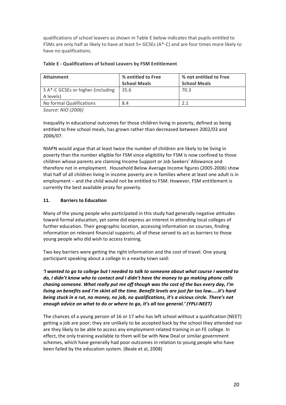qualifications of school leavers as shown in Table E below indicates that pupils entitled to FSMs are only half as likely to have at least 5+ GCSEs (A\*‐C) and are four times more likely to have no qualifications.

| <b>Attainment</b>                              | % entitled to Free<br><b>School Meals</b> | % not entitled to Free<br><b>School Meals</b> |
|------------------------------------------------|-------------------------------------------|-----------------------------------------------|
| 5 A*-C GCSEs or higher (including<br>A levels) | 35.6                                      | 70.3                                          |
| No formal Qualifications                       | 8.4                                       | 2.1                                           |

#### **Table E ‐ Qualifications of School Leavers by FSM Entitlement**

*Source: NIO (2006)*

Inequality in educational outcomes for those children living in poverty, defined as being entitled to free school meals, has grown rather than decreased between 2002/03 and 2006/07.

NIAPN would argue that at least twice the number of children are likely to be living in poverty than the number eligible for FSM since eligibility for FSM is now confined to those children whose parents are claiming Income Support or Job Seekers' Allowance and therefore not in employment. Household Below Average Income figures (2005‐2006) show that half of all children living in income poverty are in families where at least one adult is in employment – and the child would not be entitled to FSM. However, FSM entitlement is currently the best available proxy for poverty.

#### **11. Barriers to Education**

Many of the young people who participated in this study had generally negative attitudes toward formal education, yet some did express an interest in attending local colleges of further education. Their geographic location, accessing information on courses, finding information on relevant financial supports; all of these served to act as barriers to those young people who did wish to access training.

Two key barriers were getting the right information and the cost of travel. One young participant speaking about a college in a nearby town said:

*'I wanted to go to college but I needed to talk to someone about what course I wanted to do, I didn't know who to contact and I didn't have the money to go making phone calls chasing someone. What really put me off though was the cost of the bus every day, I'm living on benefits and I'm skint all the time. Benefit levels are just far too low…..it's hard being stuck in a rut, no money, no job, no qualifications, it's a vicious circle. There's not enough advice on what to do or where to go, it's all too general.' (YPLI‐NEET)*

The chances of a young person of 16 or 17 who has left school without a qualification (NEET) getting a job are poor; they are unlikely to be accepted back by the school they attended nor are they likely to be able to access any employment-related training in an FE college. In effect, the only training available to them will be with New Deal or similar government schemes, which have generally had poor outcomes in relation to young people who have been failed by the education system. (Beale et al, 2008)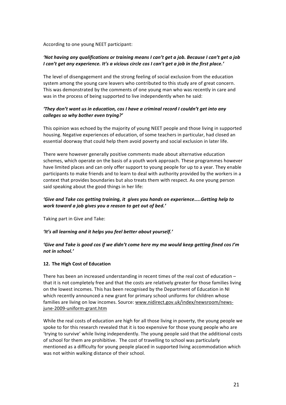According to one young NEET participant:

#### *'Not having any qualifications or training means I can't get a job. Because I can't get a job I can't get any experience. It's a vicious circle cos I can't get a job in the first place.'*

The level of disengagement and the strong feeling of social exclusion from the education system among the young care leavers who contributed to this study are of great concern. This was demonstrated by the comments of one young man who was recently in care and was in the process of being supported to live independently when he said:

#### *'They don't want us in education, cos I have a criminal record I couldn't get into any colleges so why bother even trying?'*

This opinion was echoed by the majority of young NEET people and those living in supported housing. Negative experiences of education, of some teachers in particular, had closed an essential doorway that could help them avoid poverty and social exclusion in later life.

There were however generally positive comments made about alternative education schemes, which operate on the basis of a youth work approach. These programmes however have limited places and can only offer support to young people for up to a year. They enable participants to make friends and to learn to deal with authority provided by the workers in a context that provides boundaries but also treats them with respect. As one young person said speaking about the good things in her life:

#### *'Give and Take cos getting training, it gives you hands on experience…..Getting help to work toward a job gives you a reason to get out of bed.'*

Taking part in Give and Take:

#### *'It's all learning and it helps you feel better about yourself.'*

#### *'Give and Take is good cos if we didn't come here my ma would keep getting fined cos I'm not in school.'*

#### **12. The High Cost of Education**

There has been an increased understanding in recent times of the real cost of education – that it is not completely free and that the costs are relatively greater for those families living on the lowest incomes. This has been recognised by the Department of Education in NI which recently announced a new grant for primary school uniforms for children whose families are living on low incomes. Source: www.nidirect.gov.uk/index/newsroom/newsjune‐2009‐uniform‐grant.htm

While the real costs of education are high for all those living in poverty, the young people we spoke to for this research revealed that it is too expensive for those young people who are 'trying to survive' while living independently. The young people said that the additional costs of school for them are prohibitive. The cost of travelling to school was particularly mentioned as a difficulty for young people placed in supported living accommodation which was not within walking distance of their school.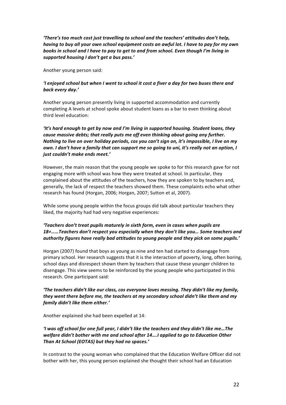*'There's too much cost just travelling to school and the teachers' attitudes don't help, having to buy all your own school equipment costs an awful lot. I have to pay for my own books in school and I have to pay to get to and from school. Even though I'm living in supported housing I don't get a bus pass.'*

Another young person said*:*

#### *'I enjoyed school but when I went to school it cost a fiver a day for two buses there and back every day.'*

Another young person presently living in supported accommodation and currently completing A levels at school spoke about student loans as a bar to even thinking about third level education:

*'It's hard enough to get by now and I'm living in supported housing. Student loans, they cause massive debts; that really puts me off even thinking about going any further. Nothing to live on over holiday periods, cos you can't sign on, it's impossible, I live on my own. I don't have a family that can support me so going to uni, it's really not an option, I just couldn't make ends meet.'* 

However, the main reason that the young people we spoke to for this research gave for not engaging more with school was how they were treated at school. In particular, they complained about the attitudes of the teachers, how they are spoken to by teachers and, generally, the lack of respect the teachers showed them. These complaints echo what other research has found (Horgan, 2006; Horgan, 2007; Sutton et al, 2007).

While some young people within the focus groups did talk about particular teachers they liked, the majority had had very negative experiences:

#### *'Teachers don't treat pupils maturely in sixth form, even in cases when pupils are 18+……Teachers don't respect you especially when they don't like you… Some teachers and authority figures have really bad attitudes to young people and they pick on some pupils.'*

Horgan (2007) found that boys as young as nine and ten had started to disengage from primary school. Her research suggests that it is the interaction of poverty, long, often boring, school days and disrespect shown them by teachers that cause these younger children to disengage. This view seems to be reinforced by the young people who participated in this research. One participant said:

#### *'The teachers didn't like our class, cos everyone loves messing. They didn't like my family, they went there before me, the teachers at my secondary school didn't like them and my family didn't like them either.'*

Another explained she had been expelled at 14:

*'I was off school for one full year, I didn't like the teachers and they didn't like me…The welfare didn't bother with me and school after 14….I applied to go to Education Other Than At School (EOTAS) but they had no spaces.'*

In contrast to the young woman who complained that the Education Welfare Officer did not bother with her, this young person explained she thought their school had an Education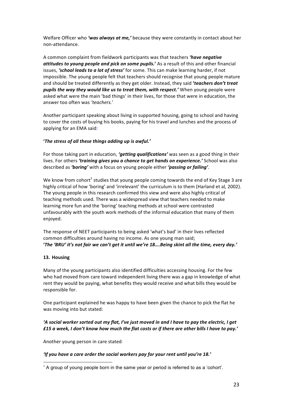Welfare Officer who *'was always at me,'* because they were constantly in contact about her non‐attendance.

A common complaint from fieldwork participants was that teachers *'have negative attitudes to young people and pick on some pupils.***'** As a result of this and other financial issues, *'school leads to a lot of stress'* for some. This can make learning harder, if not impossible. The young people felt that teachers should recognise that young people mature and should be treated differently as they get older. Instead, they said **'***teachers don't treat pupils the way they would like us to treat them, with respect.'* When young people were asked what were the main 'bad things' in their lives, for those that were in education, the answer too often was *'teachers.*'

Another participant speaking about living in supported housing, going to school and having to cover the costs of buying his books, paying for his travel and lunches and the process of applying for an EMA said:

#### **'***The stress of all these things adding up is awful.'*

For those taking part in education, *'getting qualifications'* was seen as a good thing in their lives. For others *'training gives you a chance to get hands on experience.'* School was also described as *'boring'* with a focus on young people either *'passing or failing'.*

We know from cohort<sup>1</sup> studies that young people coming towards the end of Key Stage 3 are highly critical of how 'boring' and 'irrelevant' the curriculum is to them (Harland et al*,* 2002). The young people in this research confirmed this view and were also highly critical of teaching methods used. There was a widespread view that teachers needed to make learning more fun and the 'boring' teaching methods at school were contrasted unfavourably with the youth work methods of the informal education that many of them enjoyed.

The response of NEET participants to being asked 'what's bad' in their lives reflected common difficulties around having no income. As one young man said; **'***The 'BRU' it's not fair we can't get it until we're 18….Being skint all the time, every day.'*

#### **13. Housing**

Many of the young participants also identified difficulties accessing housing. For the few who had moved from care toward independent living there was a gap in knowledge of what rent they would be paying, what benefits they would receive and what bills they would be responsible for.

One participant explained he was happy to have been given the chance to pick the flat he was moving into but stated:

#### *'A social worker sorted out my flat, I've just moved in and I have to pay the electric, I get £15 a week, I don't know how much the flat costs or if there are other bills I have to pay.'*

Another young person in care stated*:* 

#### *'If you have a care order the social workers pay for your rent until you're 18.'*

 $1$  A group of young people born in the same year or period is referred to as a 'cohort'.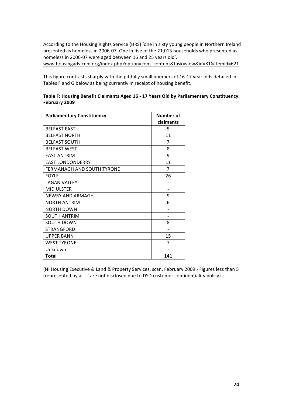According to the Housing Rights Service (HRS) 'one in sixty young people in Northern Ireland presented as homeless in 2006‐07. One in five of the 21,013 households who presented as homeless in 2006‐07 were aged between 16 and 25 years old'.

www.housingadviceni.org/index.php?option=com\_content&task=view&id=81&Itemid=621

This figure contrasts sharply with the pitifully small numbers of 16‐17 year olds detailed in Tables F and G below as being currently in receipt of housing benefit.

#### **Table F: Housing Benefit Claimants Aged 16 ‐ 17 Years Old by Parliamentary Constituency: February 2009**

| <b>Parliamentary Constituency</b> | Number of |
|-----------------------------------|-----------|
|                                   | claimants |
| <b>BELFAST EAST</b>               | 5         |
| <b>BELFAST NORTH</b>              | 11        |
| <b>BELFAST SOUTH</b>              | 7         |
| <b>BELFAST WEST</b>               | 8         |
| <b>EAST ANTRIM</b>                | 9         |
| <b>EAST LONDONDERRY</b>           | 11        |
| FERMANAGH AND SOUTH TYRONE        | 7         |
| <b>FOYLE</b>                      | 26        |
| <b>LAGAN VALLEY</b>               |           |
| <b>MID ULSTER</b>                 |           |
| <b>NEWRY AND ARMAGH</b>           | 9         |
| <b>NORTH ANTRIM</b>               | 6         |
| NORTH DOWN                        |           |
| <b>SOUTH ANTRIM</b>               |           |
| <b>SOUTH DOWN</b>                 | 8         |
| STRANGFORD                        |           |
| <b>UPPER BANN</b>                 | 15        |
| <b>WEST TYRONE</b>                | 7         |
| Unknown                           |           |
| <b>Total</b>                      | 141       |

(NI Housing Executive & Land & Property Services, scan, February 2009 ‐ Figures less than 5 (represented by a ' ‐ ' are not disclosed due to DSD customer confidentiality policy)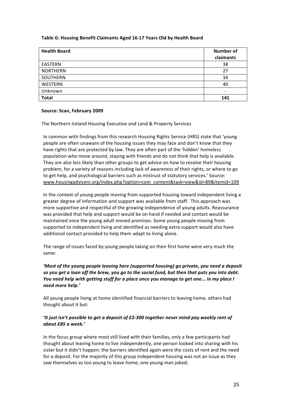#### **Table G: Housing Benefit Claimants Aged 16‐17 Years Old by Health Board**

| <b>Health Board</b> | <b>Number of</b><br>claimants |
|---------------------|-------------------------------|
| EASTERN             | 38                            |
| <b>NORTHERN</b>     | 27                            |
| SOUTHERN            | 34                            |
| WESTERN             | 40                            |
| Unknown             | -                             |
| <b>Total</b>        | 141                           |

#### **Source: Scan, February 2009**

The Northern Ireland Housing Executive and Land & Property Services

In common with findings from this research Housing Rights Service (HRS) state that 'young people are often unaware of the housing issues they may face and don't know that they have rights that are protected by law. They are often part of the 'hidden' homeless population who move around, staying with friends and do not think that help is available. They are also less likely than other groups to get advice on how to resolve their housing problem, for a variety of reasons including lack of awareness of their rights, or where to go to get help, and psychological barriers such as mistrust of statutory services.' Source: www.housingadviceni.org/index.php?option=com\_content&task=view&id=89&Itemid=109

In the context of young people moving from supported housing toward independent living a greater degree of information and support was available from staff. This approach was more supportive and respectful of the growing independence of young adults. Reassurance was provided that help and support would be on hand if needed and contact would be maintained once the young adult moved premises. Some young people moving from supported to independent living and identified as needing extra support would also have additional contact provided to help them adapt to living alone.

The range of issues faced by young people taking on their first home were very much the same:

*'Most of the young people leaving here (supported housing) go private, you need a deposit so you get a loan off the brew, you go to the social fund, but then that puts you into debt. You need help with getting stuff for a place once you manage to get one... in my place I need more help.'*

All young people living at home identified financial barriers to leaving home, others had thought about it but:

#### **'***It just isn't possible to get a deposit of £2‐300 together never mind pay weekly rent of about £85 a week.'*

In the focus group where most still lived with their families, only a few participants had thought about leaving home to live independently, one person looked into sharing with his sister but it didn't happen; the barriers identified again were the costs of rent and the need for a deposit. For the majority of this group independent housing was not an issue as they saw themselves as too young to leave home, one young man joked;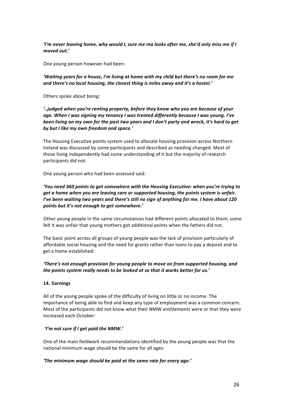*'I'm never leaving home, why would I, sure me ma looks after me, she'd only miss me if I moved out.'*

One young person however had been:

*'Waiting years for a house, I'm living at home with my child but there's no room for me and there's no local housing, the closest thing is miles away and it's a hostel.'*

Others spoke about being:

*'..judged when you're renting property, before they know who you are because of your age. When I was signing my tenancy I was treated differently because I was young. I've been living on my own for the past two years and I don't party and wreck, it's hard to get by but I like my own freedom and space.'*

The Housing Executive points system used to allocate housing provision across Northern Ireland was discussed by some participants and described as needing changed. Most of those living independently had some understanding of it but the majority of research participants did not.

One young person who had been assessed said:

*'You need 360 points to get somewhere with the Housing Executive: when you're trying to get a home when you are leaving care or supported housing, the points system is unfair. I've been waiting two years and there's still no sign of anything for me. I have about 120 points but it's not enough to get somewhere.'* 

Other young people in the same circumstances had different points allocated to them; some felt it was unfair that young mothers got additional points when the fathers did not.

The basic point across all groups of young people was the lack of provision particularly of affordable social housing and the need for grants rather than loans to pay a deposit and to get a home established:

#### *'There's not enough provision for young people to move on from supported housing, and the points system really needs to be looked at so that it works better for us.'*

#### **14. Earnings**

All of the young people spoke of the difficulty of living on little or no income. The importance of being able to find and keep any type of employment was a common concern. Most of the participants did not know what their NMW entitlements were or that they were increased each October*:*

#### *'I'm not sure if I get paid the NMW.'*

One of the main fieldwork recommendations identified by the young people was that the national minimum wage should be the same for all ages:

#### *'The minimum wage should be paid at the same rate for every age.'*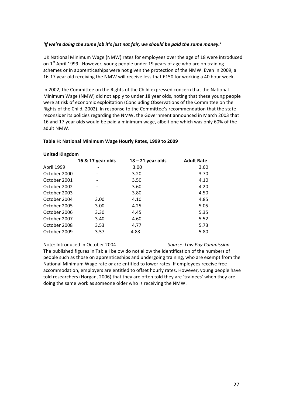#### *'If we're doing the same job it's just not fair, we should be paid the same money.'*

UK National Minimum Wage (NMW) rates for employees over the age of 18 were introduced on  $1<sup>st</sup>$  April 1999. However, young people under 19 years of age who are on training schemes or in apprenticeships were not given the protection of the NMW. Even in 2009, a 16-17 year old receiving the NMW will receive less that £150 for working a 40 hour week.

In 2002, the Committee on the Rights of the Child expressed concern that the National Minimum Wage (NMW) did not apply to under 18 year olds, noting that these young people were at risk of economic exploitation (Concluding Observations of the Committee on the Rights of the Child, 2002). In response to the Committee's recommendation that the state reconsider its policies regarding the NMW, the Government announced in March 2003 that 16 and 17 year olds would be paid a minimum wage, albeit one which was only 60% of the adult NMW.

#### **Table H: National Minimum Wage Hourly Rates, 1999 to 2009**

#### **United Kingdom**

|              | 16 & 17 year olds | $18 - 21$ year olds | <b>Adult Rate</b> |
|--------------|-------------------|---------------------|-------------------|
| April 1999   |                   | 3.00                | 3.60              |
| October 2000 |                   | 3.20                | 3.70              |
| October 2001 |                   | 3.50                | 4.10              |
| October 2002 |                   | 3.60                | 4.20              |
| October 2003 |                   | 3.80                | 4.50              |
| October 2004 | 3.00              | 4.10                | 4.85              |
| October 2005 | 3.00              | 4.25                | 5.05              |
| October 2006 | 3.30              | 4.45                | 5.35              |
| October 2007 | 3.40              | 4.60                | 5.52              |
| October 2008 | 3.53              | 4.77                | 5.73              |
| October 2009 | 3.57              | 4.83                | 5.80              |

#### Note: Introduced in October 2004 *Source: Low Pay Commission*

The published figures in Table I below do not allow the identification of the numbers of people such as those on apprenticeships and undergoing training, who are exempt from the National Minimum Wage rate or are entitled to lower rates. If employees receive free accommodation, employers are entitled to offset hourly rates. However, young people have told researchers (Horgan, 2006) that they are often told they are 'trainees' when they are doing the same work as someone older who is receiving the NMW.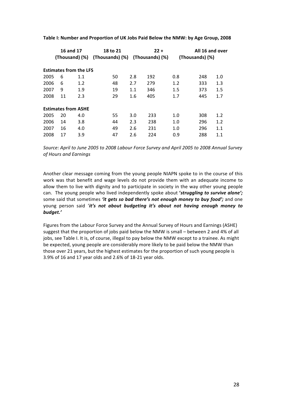|      |    | 16 and 17                     | 18 to 21        |     | $22 +$          |     | All 16 and over |
|------|----|-------------------------------|-----------------|-----|-----------------|-----|-----------------|
|      |    | (Thousand) (%)                | (Thousands) (%) |     | (Thousands) (%) |     | (Thousands) (%) |
|      |    | <b>Estimates from the LFS</b> |                 |     |                 |     |                 |
| 2005 | 6  | 1.1                           | 50              | 2.8 | 192             | 0.8 | 248<br>1.0      |
| 2006 | 6  | 1.2                           | 48              | 2.7 | 279             | 1.2 | 1.3<br>333      |
| 2007 | 9  | 1.9                           | 19              | 1.1 | 346             | 1.5 | 1.5<br>373      |
| 2008 | 11 | 2.3                           | 29              | 1.6 | 405             | 1.7 | 1.7<br>445      |
|      |    | <b>Estimates from ASHE</b>    |                 |     |                 |     |                 |
| 2005 | 20 | 4.0                           | 55              | 3.0 | 233             | 1.0 | 1.2<br>308      |
| 2006 | 14 | 3.8                           | 44              | 2.3 | 238             | 1.0 | 296<br>1.2      |
| 2007 | 16 | 4.0                           | 49              | 2.6 | 231             | 1.0 | 296<br>1.1      |
| 2008 | 17 | 3.9                           | 47              | 2.6 | 224             | 0.9 | 288<br>1.1      |

**Table I: Number and Proportion of UK Jobs Paid Below the NMW: by Age Group, 2008**

*Source: April to June 2005 to 2008 Labour Force Survey and April 2005 to 2008 Annual Survey of Hours and Earnings*

Another clear message coming from the young people NIAPN spoke to in the course of this work was that benefit and wage levels do not provide them with an adequate income to allow them to live with dignity and to participate in society in the way other young people can. The young people who lived independently spoke about **'***struggling to survive alone';* some said that sometimes *'it gets so bad there's not enough money to buy food';* and one young person said '*it's not about budgeting it's about not having enough money to budget.'*

Figures from the Labour Force Survey and the Annual Survey of Hours and Earnings (ASHE) suggest that the proportion of jobs paid below the NMW is small – between 2 and 4% of all jobs, see Table I. It is, of course, illegal to pay below the NMW except to a trainee. As might be expected, young people are considerably more likely to be paid below the NMW than those over 21 years, but the highest estimates for the proportion of such young people is 3.9% of 16 and 17 year olds and 2.6% of 18‐21 year olds.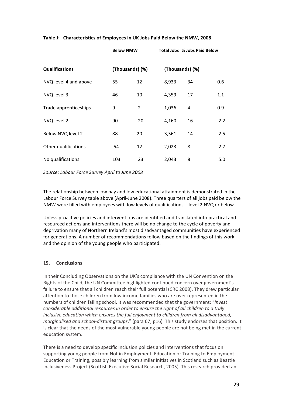#### **Table J: Characteristics of Employees in UK Jobs Paid Below the NMW, 2008**

|                       | <b>Below NMW</b> |    |                 | <b>Total Jobs % Jobs Paid Below</b> |     |
|-----------------------|------------------|----|-----------------|-------------------------------------|-----|
| <b>Qualifications</b> | (Thousands) (%)  |    | (Thousands) (%) |                                     |     |
| NVQ level 4 and above | 55               | 12 | 8,933           | 34                                  | 0.6 |
| NVQ level 3           | 46               | 10 | 4,359           | 17                                  | 1.1 |
| Trade apprenticeships | 9                | 2  | 1,036           | 4                                   | 0.9 |
| NVQ level 2           | 90               | 20 | 4,160           | 16                                  | 2.2 |
| Below NVQ level 2     | 88               | 20 | 3,561           | 14                                  | 2.5 |
| Other qualifications  | 54               | 12 | 2,023           | 8                                   | 2.7 |
| No qualifications     | 103              | 23 | 2,043           | 8                                   | 5.0 |

*Source: Labour Force Survey April to June 2008*

The relationship between low pay and low educational attainment is demonstrated in the Labour Force Survey table above (April‐June 2008). Three quarters of all jobs paid below the NMW were filled with employees with low levels of qualifications – level 2 NVQ or below.

Unless proactive policies and interventions are identified and translated into practical and resourced actions and interventions there will be no change to the cycle of poverty and deprivation many of Northern Ireland's most disadvantaged communities have experienced for generations. A number of recommendations follow based on the findings of this work and the opinion of the young people who participated.

#### **15. Conclusions**

In their Concluding Observations on the UK's compliance with the UN Convention on the Rights of the Child, the UN Committee highlighted continued concern over government's failure to ensure that all children reach their full potential (CRC 2008). They drew particular attention to those children from low income families who are over represented in the numbers of children failing school. It was recommended that the government: "*Invest considerable additional resources in order to ensure the right of all children to a truly inclusive education which ensures the full enjoyment to children from all disadvantaged, marginalised and school‐distant groups*." (para 67; p16) This study endorses that position. It is clear that the needs of the most vulnerable young people are not being met in the current education system.

There is a need to develop specific inclusion policies and interventions that focus on supporting young people from Not in Employment, Education or Training to Employment Education or Training, possibly learning from similar initiatives in Scotland such as Beattie Inclusiveness Project (Scottish Executive Social Research, 2005). This research provided an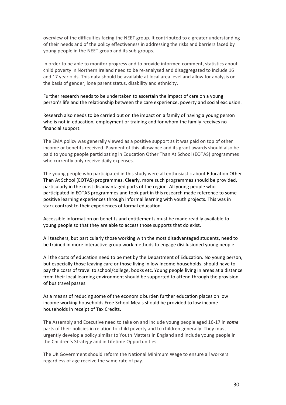overview of the difficulties facing the NEET group. It contributed to a greater understanding of their needs and of the policy effectiveness in addressing the risks and barriers faced by young people in the NEET group and its sub‐groups.

In order to be able to monitor progress and to provide informed comment, statistics about child poverty in Northern Ireland need to be re‐analysed and disaggregated to include 16 and 17 year olds. This data should be available at local area level and allow for analysis on the basis of gender, lone parent status, disability and ethnicity.

Further research needs to be undertaken to ascertain the impact of care on a young person's life and the relationship between the care experience, poverty and social exclusion.

Research also needs to be carried out on the impact on a family of having a young person who is not in education, employment or training and for whom the family receives no financial support.

The EMA policy was generally viewed as a positive support as it was paid on top of other income or benefits received. Payment of this allowance and its grant awards should also be paid to young people participating in Education Other Than At School (EOTAS) programmes who currently only receive daily expenses.

The young people who participated in this study were all enthusiastic about Education Other Than At School (EOTAS) programmes. Clearly, more such programmes should be provided, particularly in the most disadvantaged parts of the region. All young people who participated in EOTAS programmes and took part in this research made reference to some positive learning experiences through informal learning with youth projects. This was in stark contrast to their experiences of formal education.

Accessible information on benefits and entitlements must be made readily available to young people so that they are able to access those supports that do exist.

All teachers, but particularly those working with the most disadvantaged students, need to be trained in more interactive group work methods to engage disillusioned young people.

All the costs of education need to be met by the Department of Education. No young person, but especially those leaving care or those living in low income households, should have to pay the costs of travel to school/college, books etc. Young people living in areas at a distance from their local learning environment should be supported to attend through the provision of bus travel passes.

As a means of reducing some of the economic burden further education places on low income working households Free School Meals should be provided to low income households in receipt of Tax Credits.

The Assembly and Executive need to take on and include young people aged 16‐17 in *some*  parts of their policies in relation to child poverty and to children generally. They must urgently develop a policy similar to Youth Matters in England and include young people in the Children's Strategy and in Lifetime Opportunities.

The UK Government should reform the National Minimum Wage to ensure all workers regardless of age receive the same rate of pay.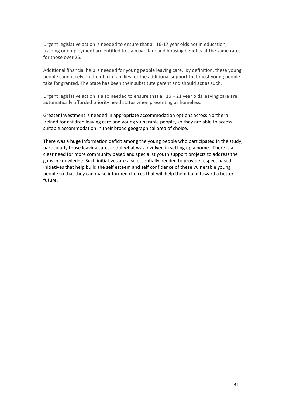Urgent legislative action is needed to ensure that all 16‐17 year olds not in education, training or employment are entitled to claim welfare and housing benefits at the same rates for those over 25.

Additional financial help is needed for young people leaving care. By definition, these young people cannot rely on their birth families for the additional support that most young people take for granted. The State has been their substitute parent and should act as such.

Urgent legislative action is also needed to ensure that all  $16 - 21$  year olds leaving care are automatically afforded priority need status when presenting as homeless.

Greater investment is needed in appropriate accommodation options across Northern Ireland for children leaving care and young vulnerable people, so they are able to access suitable accommodation in their broad geographical area of choice.

There was a huge information deficit among the young people who participated in the study, particularly those leaving care, about what was involved in setting up a home. There is a clear need for more community based and specialist youth support projects to address the gaps in knowledge. Such initiatives are also essentially needed to provide respect based initiatives that help build the self esteem and self confidence of these vulnerable young people so that they can make informed choices that will help them build toward a better future.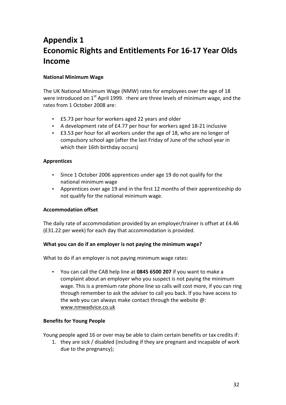## **Appendix 1 Economic Rights and Entitlements For 16‐17 Year Olds Income**

#### **National Minimum Wage**

The UK National Minimum Wage (NMW) rates for employees over the age of 18 were introduced on  $1<sup>st</sup>$  April 1999. There are three levels of minimum wage, and the rates from 1 October 2008 are:

- £5.73 per hour for workers aged 22 years and older
- A development rate of £4.77 per hour for workers aged 18‐21 inclusive
- £3.53 per hour for all workers under the age of 18, who are no longer of compulsory school age (after the last Friday of June of the school year in which their 16th birthday occurs)

#### **Apprentices**

- Since 1 October 2006 apprentices under age 19 do not qualify for the national minimum wage
- Apprentices over age 19 and in the first 12 months of their apprenticeship do not qualify for the national minimum wage.

#### **Accommodation offset**

The daily rate of accommodation provided by an employer/trainer is offset at £4.46 (£31.22 per week) for each day that accommodation is provided.

#### **What you can do if an employer is not paying the minimum wage?**

What to do if an employer is not paying minimum wage rates:

• You can call the CAB help line at **0845 6500 207** if you want to make a complaint about an employer who you suspect is not paying the minimum wage. This is a premium rate phone line so calls will cost more, if you can ring through remember to ask the adviser to call you back. If you have access to the web you can always make contact through the website @: www.nmwadvice.co.uk

#### **Benefits for Young People**

Young people aged 16 or over may be able to claim certain benefits or tax credits if:

1. they are sick / disabled (including if they are pregnant and incapable of work due to the pregnancy);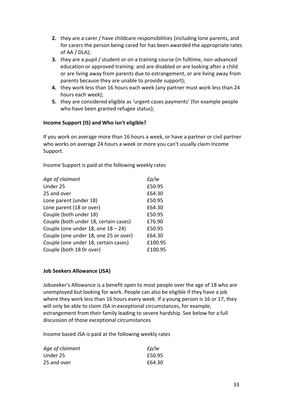- **2.** they are a carer / have childcare responsibilities (including lone parents, and for carers the person being cared for has been awarded the appropriate rates of AA / DLA);
- **3.** they are a pupil / student or on a training course (in fulltime, non-advanced education or approved training: and are disabled or are looking after a child or are living away from parents due to estrangement, or are living away from parents because they are unable to provide support);
- **4.** they work less than 16 hours each week (any partner must work less than 24 hours each week);
- **5.** they are considered eligible as 'urgent cases payments' (for example people who have been granted refugee status);

#### **Income Support (IS) and Who isn't eligible?**

If you work on average more than 16 hours a week, or have a partner or civil partner who works on average 24 hours a week or more you can't usually claim Income Support.

Income Support is paid at the following weekly rates

| Age of claimant                       | £p/w    |
|---------------------------------------|---------|
| Under 25                              | £50.95  |
| 25 and over                           | £64.30  |
| Lone parent (under 18)                | £50.95  |
| Lone parent (18 or over)              | £64.30  |
| Couple (both under 18)                | £50.95  |
| Couple (both under 18, certain cases) | £76.90  |
| Couple (one under 18, one $18 - 24$ ) | £50.95  |
| Couple (one under 18, one 25 or over) | £64.30  |
| Couple (one under 18, certain cases)  | £100.95 |
| Couple (both 18 Or over)              | £100.95 |
|                                       |         |

#### **Job Seekers Allowance (JSA)**

Jobseeker's Allowance is a benefit open to most people over the age of 18 who are unemployed but looking for work. People can also be eligible if they have a job where they work less than 16 hours every week. If a young person is 16 or 17, they will only be able to claim JSA in exceptional circumstances, for example, estrangement from their family leading to severe hardship. See below for a full discussion of those exceptional circumstances

Income based JSA is paid at the following weekly rates

| Age of claimant | $E$ p/w |
|-----------------|---------|
| Under 25        | £50.95  |
| 25 and over     | £64.30  |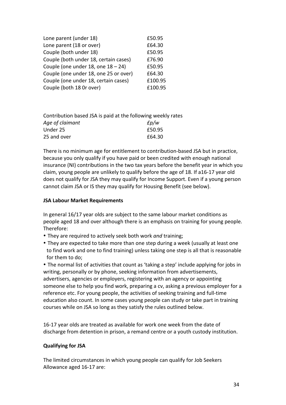| Lone parent (under 18)                | £50.95  |
|---------------------------------------|---------|
| Lone parent (18 or over)              | £64.30  |
| Couple (both under 18)                | £50.95  |
| Couple (both under 18, certain cases) | £76.90  |
| Couple (one under 18, one $18 - 24$ ) | £50.95  |
| Couple (one under 18, one 25 or over) | £64.30  |
| Couple (one under 18, certain cases)  | £100.95 |
| Couple (both 18 Or over)              | £100.95 |

| Contribution based JSA is paid at the following weekly rates |         |  |  |  |
|--------------------------------------------------------------|---------|--|--|--|
| Age of claimant                                              | $E$ p/w |  |  |  |
| Under 25                                                     | £50.95  |  |  |  |
| 25 and over                                                  | £64.30  |  |  |  |

There is no minimum age for entitlement to contribution‐based JSA but in practice, because you only qualify if you have paid or been credited with enough national insurance (NI) contributions in the two tax years before the benefit year in which you claim, young people are unlikely to qualify before the age of 18. If a16‐17 year old does not qualify for JSA they may qualify for Income Support. Even if a young person cannot claim JSA or IS they may qualify for Housing Benefit (see below).

#### **JSA Labour Market Requirements**

In general 16/17 year olds are subject to the same labour market conditions as people aged 18 and over although there is an emphasis on training for young people. Therefore:

- They are required to actively seek both work *and* training;
- They are expected to take more than one step during a week (usually at least one to find work and one to find training) unless taking one step is all that is reasonable for them to do;

• The normal list of activities that count as 'taking a step' include applying for jobs in writing, personally or by phone, seeking information from advertisements, advertisers, agencies or employers, registering with an agency or appointing someone else to help you find work, preparing a cv, asking a previous employer for a reference etc. For young people, the activities of seeking training and full‐time education also count. In some cases young people can study or take part in training courses while on JSA so long as they satisfy the rules outlined below.

16‐17 year olds are treated as available for work one week from the date of discharge from detention in prison, a remand centre or a youth custody institution.

#### **Qualifying for JSA**

The limited circumstances in which young people can qualify for Job Seekers Allowance aged 16‐17 are: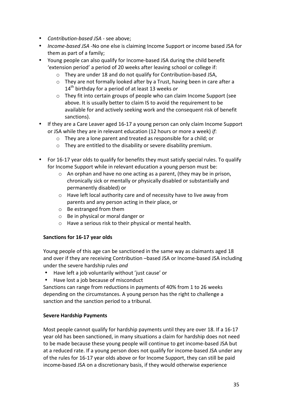- *Contribution‐based JSA* ‐ see above;
- *Income‐based JSA* ‐No one else is claiming Income Support or income based JSA for them as part of a family;
- Young people can also qualify for Income‐based JSA during the child benefit 'extension period' a period of 20 weeks after leaving school or college if:
	- o They are under 18 and do not qualify for Contribution‐based JSA,
	- o They are not formally looked after by a Trust, having been in care after a 14th birthday for a period of at least 13 weeks *or*
	- o They fit into certain groups of people who can claim Income Support (see above. It is usually better to claim IS to avoid the requirement to be available for and actively seeking work and the consequent risk of benefit sanctions).
- If they are a Care Leaver aged 16-17 a young person can only claim Income Support or JSA while they are in relevant education (12 hours or more a week) *if*:
	- o They are a lone parent and treated as responsible for a child; or
	- o They are entitled to the disability or severe disability premium.
- For 16-17 year olds to qualify for benefits they must satisfy special rules. To qualify for Income Support while in relevant education a young person must be:
	- o An orphan and have no one acting as a parent, (they may be in prison, chronically sick or mentally or physically disabled or substantially and permanently disabled) or
	- o Have left local authority care and of necessity have to live away from parents and any person acting in their place, or
	- o Be estranged from them
	- o Be in physical or moral danger or
	- o Have a serious risk to their physical or mental health.

#### **Sanctions for 16‐17 year olds**

Young people of this age can be sanctioned in the same way as claimants aged 18 and over if they are receiving Contribution –based JSA or Income‐based JSA including under the severe hardship rules *and*

- Have left a job voluntarily without 'just cause' or
- Have lost a job because of misconduct

Sanctions can range from reductions in payments of 40% from 1 to 26 weeks depending on the circumstances. A young person has the right to challenge a sanction and the sanction period to a tribunal.

#### **Severe Hardship Payments**

Most people cannot qualify for hardship payments until they are over 18. If a 16‐17 year old has been sanctioned, in many situations a claim for hardship does not need to be made because these young people will continue to get income-based JSA but at a reduced rate. If a young person does not qualify for income‐based JSA under any of the rules for 16‐17 year olds above or for Income Support, they can still be paid income‐based JSA on a discretionary basis, if they would otherwise experience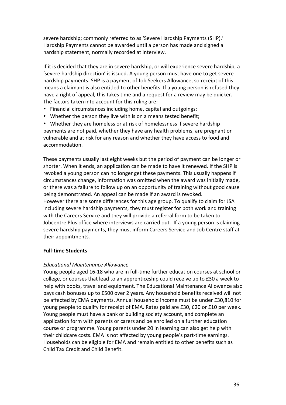severe hardship; commonly referred to as 'Severe Hardship Payments (SHP).' Hardship Payments cannot be awarded until a person has made and signed a hardship statement, normally recorded at interview.

If it is decided that they are in severe hardship, or will experience severe hardship, a 'severe hardship direction' is issued. A young person must have one to get severe hardship payments. SHP is a payment of Job Seekers Allowance, so receipt of this means a claimant is also entitled to other benefits. If a young person is refused they have a right of appeal, this takes time and a request for a review may be quicker. The factors taken into account for this ruling are:

- Financial circumstances including home, capital and outgoings;
- Whether the person they live with is on a means tested benefit;

• Whether they are homeless or at risk of homelessness if severe hardship payments are not paid, whether they have any health problems, are pregnant or vulnerable and at risk for any reason and whether they have access to food and accommodation.

These payments usually last eight weeks but the period of payment can be longer or shorter. When it ends, an application can be made to have it renewed. If the SHP is revoked a young person can no longer get these payments. This usually happens if circumstances change, information was omitted when the award was initially made, or there was a failure to follow up on an opportunity of training without good cause being demonstrated. An appeal can be made if an award is revoked. However there are some differences for this age group. To qualify to claim for JSA including severe hardship payments, they must register for both work and training with the Careers Service and they will provide a referral form to be taken to Jobcentre Plus office where interviews are carried out. If a young person is claiming severe hardship payments, they must inform Careers Service and Job Centre staff at their appointments.

#### **Full‐time Students**

#### *Educational Maintenance Allowance*

Young people aged 16-18 who are in full-time further education courses at school or college, or courses that lead to an apprenticeship could receive up to £30 a week to help with books, travel and equipment. The Educational Maintenance Allowance also pays cash bonuses up to £500 over 2 years. Any household benefits received will not be affected by EMA payments. Annual household income must be under £30,810 for young people to qualify for receipt of EMA. Rates paid are £30, £20 or £10 per week. Young people must have a bank or building society account, and complete an application form with parents or carers and be enrolled on a further education course or programme. Young parents under 20 in learning can also get help with their childcare costs. EMA is not affected by young people's part‐time earnings. Households can be eligible for EMA and remain entitled to other benefits such as Child Tax Credit and Child Benefit.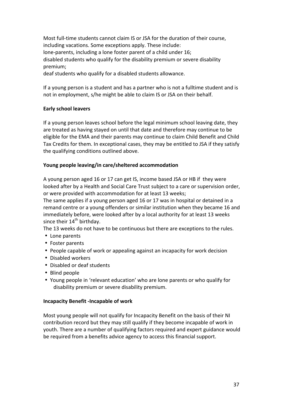Most full‐time students cannot claim IS or JSA for the duration of their course, including vacations. Some exceptions apply. These include: lone‐parents, including a lone foster parent of a child under 16; disabled students who qualify for the disability premium or severe disability premium;

deaf students who qualify for a disabled students allowance.

If a young person is a student and has a partner who is not a fulltime student and is not in employment, s/he might be able to claim IS or JSA on their behalf.

#### **Early school leavers**

If a young person leaves school before the legal minimum school leaving date, they are treated as having stayed on until that date and therefore may continue to be eligible for the EMA and their parents may continue to claim Child Benefit and Child Tax Credits for them. In exceptional cases, they may be entitled to JSA if they satisfy the qualifying conditions outlined above.

#### **Young people leaving/in care/sheltered accommodation**

A young person aged 16 or 17 can get IS, income based JSA or HB if they were looked after by a Health and Social Care Trust subject to a care or supervision order, or were provided with accommodation for at least 13 weeks;

The same applies if a young person aged 16 or 17 was in hospital or detained in a remand centre or a young offenders or similar institution when they became 16 and immediately before, were looked after by a local authority for at least 13 weeks since their  $14<sup>th</sup>$  birthday.

The 13 weeks do not have to be continuous but there are exceptions to the rules.

- Lone parents
- Foster parents
- People capable of work or appealing against an incapacity for work decision
- Disabled workers
- Disabled or deaf students
- Blind people
- Young people in 'relevant education' who are lone parents or who qualify for disability premium or severe disability premium.

#### **Incapacity Benefit ‐Incapable of work**

Most young people will not qualify for Incapacity Benefit on the basis of their NI contribution record but they may still qualify if they become incapable of work in youth. There are a number of qualifying factors required and expert guidance would be required from a benefits advice agency to access this financial support.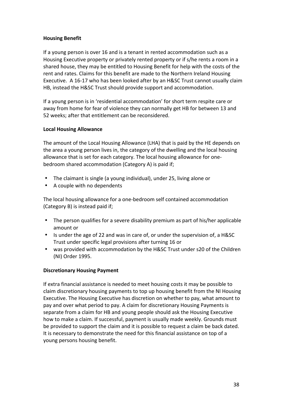#### **Housing Benefit**

If a young person is over 16 and is a tenant in rented accommodation such as a Housing Executive property or privately rented property or if s/he rents a room in a shared house, they may be entitled to Housing Benefit for help with the costs of the rent and rates. Claims for this benefit are made to the Northern Ireland Housing Executive. A 16‐17 who has been looked after by an H&SC Trust cannot usually claim HB, instead the H&SC Trust should provide support and accommodation.

If a young person is in 'residential accommodation' for short term respite care or away from home for fear of violence they can normally get HB for between 13 and 52 weeks; after that entitlement can be reconsidered.

#### **Local Housing Allowance**

The amount of the Local Housing Allowance (LHA) that is paid by the HE depends on the area a young person lives in, the category of the dwelling and the local housing allowance that is set for each category. The local housing allowance for one‐ bedroom shared accommodation (Category A) is paid if;

- The claimant is single (a young individual), under 25, living alone or
- A couple with no dependents

The local housing allowance for a one‐bedroom self contained accommodation (Category B) is instead paid if;

- The person qualifies for a severe disability premium as part of his/her applicable amount or
- Is under the age of 22 and was in care of, or under the supervision of, a H&SC Trust under specific legal provisions after turning 16 or
- was provided with accommodation by the H&SC Trust under s20 of the Children (NI) Order 1995.

#### **Discretionary Housing Payment**

If extra financial assistance is needed to meet housing costs it may be possible to claim discretionary housing payments to top up housing benefit from the NI Housing Executive. The Housing Executive has discretion on whether to pay, what amount to pay and over what period to pay. A claim for discretionary Housing Payments is separate from a claim for HB and young people should ask the Housing Executive how to make a claim. If successful, payment is usually made weekly. Grounds must be provided to support the claim and it is possible to request a claim be back dated. It is necessary to demonstrate the need for this financial assistance on top of a young persons housing benefit.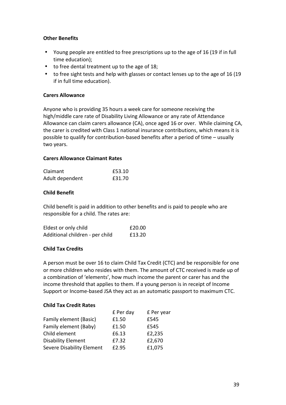#### **Other Benefits**

- Young people are entitled to free prescriptions up to the age of 16 (19 if in full time education);
- to free dental treatment up to the age of 18;
- to free sight tests and help with glasses or contact lenses up to the age of 16 (19 if in full time education).

#### **Carers Allowance**

Anyone who is providing 35 hours a week care for someone receiving the high/middle care rate of Disability Living Allowance or any rate of Attendance Allowance can claim carers allowance (CA), once aged 16 or over. While claiming CA, the carer is credited with Class 1 national insurance contributions, which means it is possible to qualify for contribution‐based benefits after a period of time – usually two years.

#### **Carers Allowance Claimant Rates**

| Claimant        | £53.10 |
|-----------------|--------|
| Adult dependent | £31.70 |

#### **Child Benefit**

Child benefit is paid in addition to other benefits and is paid to people who are responsible for a child. The rates are:

| Eldest or only child            | £20.00 |
|---------------------------------|--------|
| Additional children - per child | £13.20 |

#### **Child Tax Credits**

A person must be over 16 to claim Child Tax Credit (CTC) and be responsible for one or more children who resides with them. The amount of CTC received is made up of a combination of 'elements', how much income the parent or carer has and the income threshold that applies to them. If a young person is in receipt of Income Support or Income‐based JSA they act as an automatic passport to maximum CTC.

#### **Child Tax Credit Rates**

|                           | £ Per day | £ Per year |
|---------------------------|-----------|------------|
| Family element (Basic)    | £1.50     | £545       |
| Family element (Baby)     | £1.50     | £545       |
| Child element             | £6.13     | £2,235     |
| <b>Disability Element</b> | £7.32     | £2,670     |
| Severe Disability Element | £2.95     | £1,075     |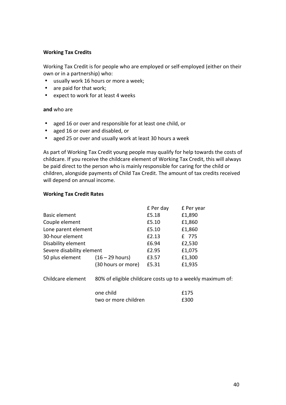#### **Working Tax Credits**

Working Tax Credit is for people who are employed or self‐employed (either on their own or in a partnership) who:

- usually work 16 hours or more a week;
- are paid for that work;
- expect to work for at least 4 weeks

#### **and** who are

- aged 16 or over and responsible for at least one child, or
- aged 16 or over and disabled, or
- aged 25 or over and usually work at least 30 hours a week

As part of Working Tax Credit young people may qualify for help towards the costs of childcare. If you receive the childcare element of Working Tax Credit, this will always be paid direct to the person who is mainly responsible for caring for the child or children, alongside payments of Child Tax Credit. The amount of tax credits received will depend on annual income.

#### **Working Tax Credit Rates**

|                           |                    | £ Per day | £ Per year |
|---------------------------|--------------------|-----------|------------|
| <b>Basic element</b>      |                    | £5.18     | £1,890     |
| Couple element            |                    | £5.10     | £1,860     |
| Lone parent element       |                    | £5.10     | £1,860     |
| 30-hour element           |                    | £2.13     | £ 775      |
| Disability element        |                    | £6.94     | £2,530     |
| Severe disability element |                    | £2.95     | £1,075     |
| 50 plus element           | $(16 - 29$ hours)  | £3.57     | £1,300     |
|                           | (30 hours or more) | £5.31     | £1,935     |
|                           |                    |           |            |

Childcare element 80% of eligible childcare costs up to a weekly maximum of:

| one child            | £175 |
|----------------------|------|
| two or more children | £300 |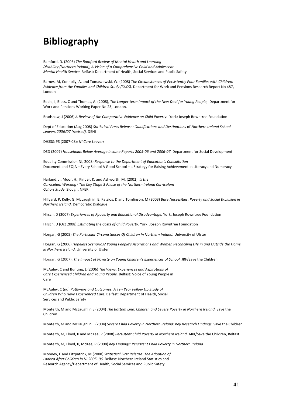## **Bibliography**

Bamford, D. (2006) *The Bamford Review of Mental Health and Learning Disability (Northern Ireland), A Vision of a Comprehensive Child and Adolescent Mental Health Service.* Belfast: Department of Health, Social Services and Public Safety

Barnes, M, Connolly, A. and Tomaszewski, W. (2008) *The Circumstances of Persistently Poor Families with Children: Evidence from the Families and Children Study (FACS),* Department for Work and Pensions Research Report No 487, London

Beale, I, Bloss, C and Thomas, A. (2008), *The Longer‐term Impact of the New Deal for Young People,*  Department for Work and Pensions Working Paper No 23, London.

Bradshaw, J (2006) *A Review of the Comparative Evidence on Child Poverty.*  York: Joseph Rowntree Foundation

Dept of Education (Aug 2008) *Statistical Press Release: Qualifications and Destinations* of *Northern Ireland School Leavers 2006/07 (revised).* DENI

DHSS& PS (2007‐08)*: NI Care Leavers*

DSD (2007) *Households Below Average Income Reports 2005-06 and 2006-07.* Department for Social Development

Equality Commission NI, 2008*: Response to the Department of Education's Consultation* Document and EQIA – Every School A Good School – a Strategy for Raising Achievement in Literacy and Numeracy

Harland, J., Moor, H., Kinder, K. and Ashworth, M. (2002). *Is the Curriculum Working? The Key Stage 3 Phase of the Northern Ireland Curriculum Cohort Study.* Slough: NFER

Hillyard, P, Kelly, G, McLaughlin, E, Patsios, D and Tomlinson, M (2003) *Bare Necessities: Poverty and Social Exclusion in Northern Ireland.* Democratic Dialogue

Hirsch, D (2007) *Experiences of Ppoverty and Educational Disadvantage.* York: Joseph Rowntree Foundation

Hirsch, D (Oct 2008) *Estimating the Costs of Child Poverty.* York: Joseph Rowntree Foundation

Horgan, G (2005) *The Particular Circumstances Of Children In Northern Ireland.* University of Ulster

Horgan, G (2006) *Hopeless Scenarios? Young People's Aspirations and Women Reconciling Life in and Outside the Home in Northern Ireland.* University of Ulster

Horgan, G (2007), *The Impact of Poverty on Young Children's Experiences of School.* JRF/Save the Children

McAuley, C and Bunting, L (2006) *The Views, Experiences and Aspirations of Care Experienced Children and Young People.* Belfast: Voice of Young People in Care

McAuley, C (nd) *Pathways and Outcomes: A Ten Year Follow Up Study of Children Who Have Experienced Care.* Belfast: Department of Health, Social Services and Public Safety

Monteith, M and McLaughlin E (2004) *The Bottom Line: Children and Severe Poverty in Northern Ireland.* Save the Children

Monteith, M and McLaughlin E (2004) *Severe Child Poverty in Northern Ireland: Key Research Findings.* Save the Children

Monteith, M, Lloyd, K and McKee, P (2008) *Persistent Child Poverty in Northern Ireland.* ARK/Save the Children, Belfast

Monteith, M, Lloyd, K, McKee, P (2008) *Key Findings: Persistent Child Poverty in Northern Ireland* 

Mooney, E and Fitzpatrick, M (2008) *Statistical First Release: The Adoption of Looked After Children in NI 2005–06.* Belfast: Northern Ireland Statistics and Research Agency/Department of Health, Social Services and Public Safety.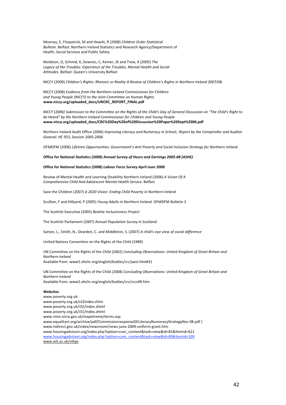Mooney, E, Fitzpatrick, M and Hewitt, R (2008) *Children Order Statistical Bulletin.* Belfast: Northern Ireland Statistics and Research Agency/Department of Health, Social Services and Public Safety.

Muldoon, O, Schmid, K, Downes, C, Kemer, JK and Trew, K (2005) *The Legacy of the Troubles: Experience of the Troubles, Mental Health and Social Attitudes.* Belfast: Queen's University Belfast

NICCY (2009) *Children's Rights: Rhetoric or Reality A Review of Children's Rights in Northern Ireland 2007/08.* 

NICCY (2008) *Evidence from the Northern Ireland Commissioner for Children and Young People (NICCY) to the Joint Committee on Human Rights* **www.niccy.org/uploaded\_docs/UNCRC\_REPORT\_FINAL.pdf** 

*NICCY (2006) Submission to the Committee on the Rights of the Child's Day of General Discussion on "The Child's Right to be Heard" by the Northern Ireland Commissioner for Children and Young People* **www.niccy.org/uploaded\_docs/CRC%20Day%20of%20Discussion%20Paper%20Sept%2006.pdf** 

Northern Ireland Audit Office (2006) *Improving Literacy and Numeracy in School:, Report by the Comptroller and Auditor General.* HC 953, Session 2005‐2006

OFMDFM (2006) *Lifetime Opportunities: Government's Anti Poverty and Social Inclusion Strategy for Northern Ireland.* 

#### **Office for National Statistics (2008)** *Annual Survey of Hours and Earnings 2005‐08 (ASHE)*

#### **Office for National Statistics (2008)** *Labour Force Survey April‐June 2008*

Review of Mental Health and Learning Disability Northern Ireland (2006) *A Vision Of A Comprehensive Child And Adolescent Mental Health Service.* Belfast

Save the Children (2007) *A 2020 Vision: Ending Child Poverty in Northern Ireland*

Scullion, F and Hillyard, P (2005) *Young Adults in Northern Ireland.* OFMDFM Bulletin 3

The Scottish Executive (2005) *Beattie Inclusiveness Project*

The Scottish Parliament (2007) *Annual Population Survey in Scotland*

Sutton, L., Smith, N., Dearden, C. and Middleton, S. (2007) *A child's‐eye view of social difference*

United Nations Convention on the Rights of the Child (1989)

UN Committee on the Rights of the Child (2002) *Concluding Observations: United Kingdom of Great Britain and Northern Ireland* Available from: www2.ohchr.org/english/bodies/crc/past.htm#31

UN Committee on the Rights of the Child (2008) *Concluding Observations: United Kingdom of Great Britain and Northern Ireland*

Available from: www2.ohchr.org/english/bodies/crc/crcs49.htm

#### **Websites**

www.poverty.org.uk: www.poverty.org.uk/s32index.shtm www.poverty.org.uk/i32/index.shtml www.poverty.org.uk/i31/index.shtml www.ninis.nisra.gov.uk/mapxtreme/terms.asp www.equalityni.org/archive/pdf/CommissionresponseDELiteracyNumeracyStrategyNov 08.pdf) www.nidirect.gov.uk/index/newsroom/news‐june‐2009‐uniform‐grant.htm www.housingadviceni.org/index.php?option=com\_content&task=view&id=81&Itemid=621 www.housingadviceni.org/index.php?option=com\_content&task=view&id=89&Itemid=109 www.ark.ac.uk/nihps